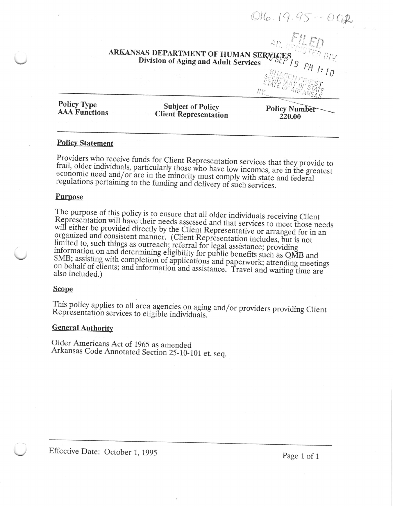# ARKANSAS DEPARTMENT OF HUMAN SERVICES<br>Division of Aging and Adult Services<br> $P_{H}$  /: 10

**Policy Type AAA Functions** 

**Subject of Policy Client Representation** 

**Policy Number** 220.00

STATE

 $B$ 

 $O16.19.95 - 006$ 

An FILEN

# **Policy Statement**

Providers who receive funds for Client Representation services that they provide to frail, older individuals, particularly those who have low incomes, are in the greatest economic need and/or are in the minority must comply with state and federal regulations pertaining to the funding and delivery of such services.

## Purpose

The purpose of this policy is to ensure that all older individuals receiving Client Representation will have their needs assessed and that services to meet those needs will either be provided directly by the Client Representative or arranged for in an organized and consistent manner. (Client Representation includes, but is not limited to, such things as outreach; referral for legal assistance; providing information on and determining eligibility for public benefits such as QMB and SMB; assisting with completion of applications and paperwork; attending meetings on behalf of clients; and information and assistance. Travel and waiting time are also included.)

### **Scope**

This policy applies to all area agencies on aging and/or providers providing Client Representation services to eligible individuals.

### **General Authority**

Older Americans Act of 1965 as amended Arkansas Code Annotated Section 25-10-101 et. seq.